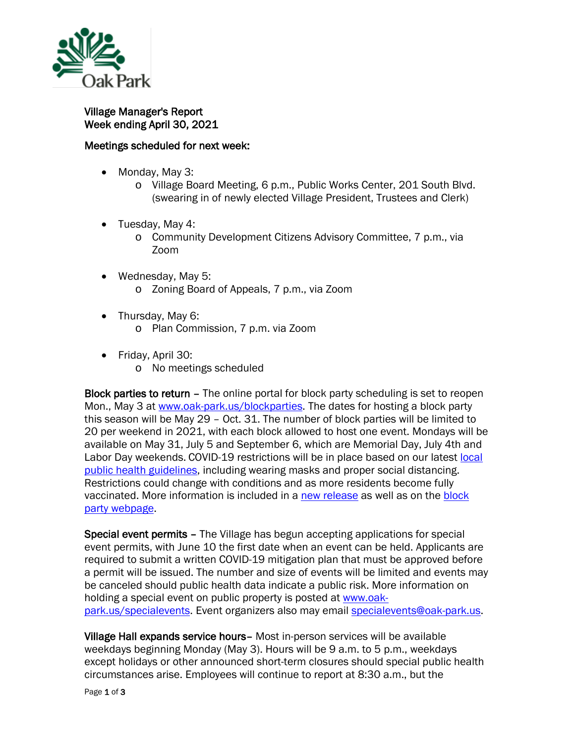

Village Manager's Report Week ending April 30, 2021

## Meetings scheduled for next week:

- Monday, May 3:
	- o Village Board Meeting, 6 p.m., Public Works Center, 201 South Blvd. (swearing in of newly elected Village President, Trustees and Clerk)
- Tuesday, May 4:
	- o Community Development Citizens Advisory Committee, 7 p.m., via Zoom
- Wednesday, May 5: o Zoning Board of Appeals, 7 p.m., via Zoom
- Thursday, May 6:
	- o Plan Commission, 7 p.m. via Zoom
- Friday, April 30:
	- o No meetings scheduled

Block parties to return – The online portal for block party scheduling is set to reopen Mon., May 3 at [www.oak-park.us/blockparties.](http://www.oak-park.us/blockparties) The dates for hosting a block party this season will be May 29 – Oct. 31. The number of block parties will be limited to 20 per weekend in 2021, with each block allowed to host one event. Mondays will be available on May 31, July 5 and September 6, which are Memorial Day, July 4th and Labor Day weekends. COVID-19 restrictions will be in place based on our latest local [public health guidelines,](https://www.oak-park.us/sites/default/files/health/covid-19-packets/guidelines/2021-04-26-block_party_guidelines.pdf) including wearing masks and proper social distancing. Restrictions could change with conditions and as more residents become fully vaccinated. More information is included in a [new release](https://www.oak-park.us/news/block-parties-return-limitations-covid-19-restrictions) as well as on the [block](https://www.oak-park.us/our-community/block-parties-garage-sales)  [party webpage.](https://www.oak-park.us/our-community/block-parties-garage-sales)

Special event permits – The Village has begun accepting applications for special event permits, with June 10 the first date when an event can be held. Applicants are required to submit a written COVID-19 mitigation plan that must be approved before a permit will be issued. The number and size of events will be limited and events may be canceled should public health data indicate a public risk. More information on holding a special event on public property is posted at [www.oak](http://www.oak-park.us/specialevents)[park.us/specialevents.](http://www.oak-park.us/specialevents) Event organizers also may email [specialevents@oak-park.us.](mailto:specialevents@oak-park.us)

Village Hall expands service hours– Most in-person services will be available weekdays beginning Monday (May 3). Hours will be 9 a.m. to 5 p.m., weekdays except holidays or other announced short-term closures should special public health circumstances arise. Employees will continue to report at 8:30 a.m., but the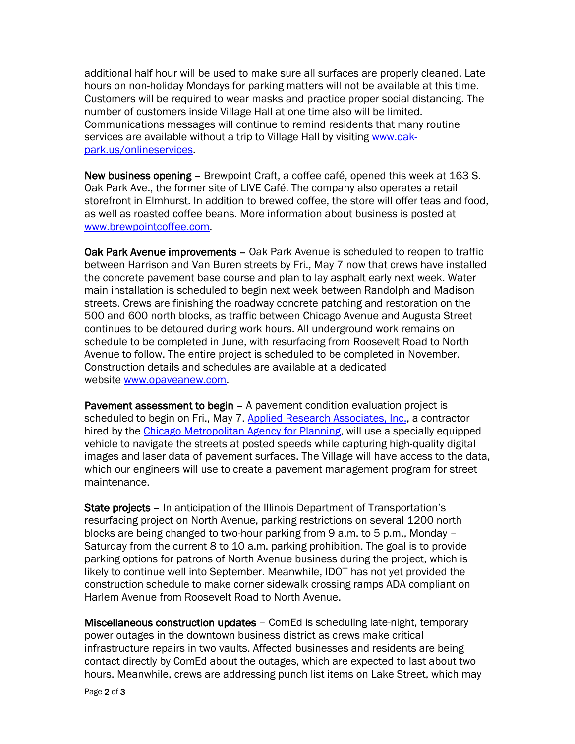additional half hour will be used to make sure all surfaces are properly cleaned. Late hours on non-holiday Mondays for parking matters will not be available at this time. Customers will be required to wear masks and practice proper social distancing. The number of customers inside Village Hall at one time also will be limited. Communications messages will continue to remind residents that many routine services are available without a trip to Village Hall by visiting [www.oak](http://www.oak-park.us/onlineservices)[park.us/onlineservices.](http://www.oak-park.us/onlineservices)

New business opening – Brewpoint Craft, a coffee café, opened this week at 163 S. Oak Park Ave., the former site of LIVE Café. The company also operates a retail storefront in Elmhurst. In addition to brewed coffee, the store will offer teas and food, as well as roasted coffee beans. More information about business is posted at [www.brewpointcoffee.com.](http://www.brewpointcoffee.com/)

Oak Park Avenue improvements – Oak Park Avenue is scheduled to reopen to traffic between Harrison and Van Buren streets by Fri., May 7 now that crews have installed the concrete pavement base course and plan to lay asphalt early next week. Water main installation is scheduled to begin next week between Randolph and Madison streets. Crews are finishing the roadway concrete patching and restoration on the 500 and 600 north blocks, as traffic between Chicago Avenue and Augusta Street continues to be detoured during work hours. All underground work remains on schedule to be completed in June, with resurfacing from Roosevelt Road to North Avenue to follow. The entire project is scheduled to be completed in November. Construction details and schedules are available at a dedicated website [www.opaveanew.com.](http://www.opaveanew.com/)

Pavement assessment to begin – A pavement condition evaluation project is scheduled to begin on Fri., May 7. [Applied Research Associates, Inc.,](https://www.ara.com/pavement-engineering-testing/) a contractor hired by the [Chicago Metropolitan Agency for Planning,](https://www.cmap.illinois.gov/) will use a specially equipped vehicle to navigate the streets at posted speeds while capturing high-quality digital images and laser data of pavement surfaces. The Village will have access to the data, which our engineers will use to create a pavement management program for street maintenance.

State projects – In anticipation of the Illinois Department of Transportation's resurfacing project on North Avenue, parking restrictions on several 1200 north blocks are being changed to two-hour parking from 9 a.m. to 5 p.m., Monday – Saturday from the current 8 to 10 a.m. parking prohibition. The goal is to provide parking options for patrons of North Avenue business during the project, which is likely to continue well into September. Meanwhile, IDOT has not yet provided the construction schedule to make corner sidewalk crossing ramps ADA compliant on Harlem Avenue from Roosevelt Road to North Avenue.

Miscellaneous construction updates – ComEd is scheduling late-night, temporary power outages in the downtown business district as crews make critical infrastructure repairs in two vaults. Affected businesses and residents are being contact directly by ComEd about the outages, which are expected to last about two hours. Meanwhile, crews are addressing punch list items on Lake Street, which may